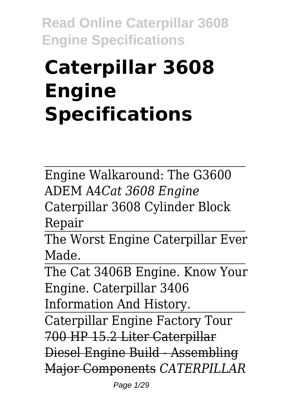# **Caterpillar 3608 Engine Specifications**

Engine Walkaround: The G3600 ADEM A4*Cat 3608 Engine* Caterpillar 3608 Cylinder Block Repair

The Worst Engine Caterpillar Ever Made.

The Cat 3406B Engine. Know Your Engine. Caterpillar 3406 Information And History.

Caterpillar Engine Factory Tour 700 HP 15.2 Liter Caterpillar Diesel Engine Build - Assembling

Major Components *CATERPILLAR*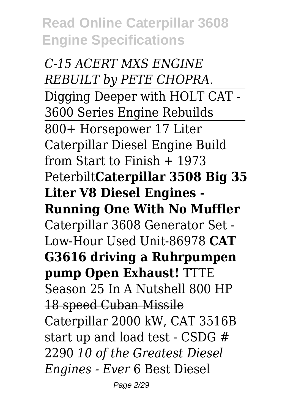*C-15 ACERT MXS ENGINE REBUILT by PETE CHOPRA.* Digging Deeper with HOLT CAT - 3600 Series Engine Rebuilds 800+ Horsepower 17 Liter Caterpillar Diesel Engine Build from Start to Finish  $+$  1973 Peterbilt**Caterpillar 3508 Big 35 Liter V8 Diesel Engines - Running One With No Muffler** Caterpillar 3608 Generator Set - Low-Hour Used Unit-86978 **CAT G3616 driving a Ruhrpumpen pump Open Exhaust!** TTTE Season 25 In A Nutshell 800 HP 18 speed Cuban Missile Caterpillar 2000 kW, CAT 3516B start up and load test - CSDG # 2290 *10 of the Greatest Diesel Engines - Ever* 6 Best Diesel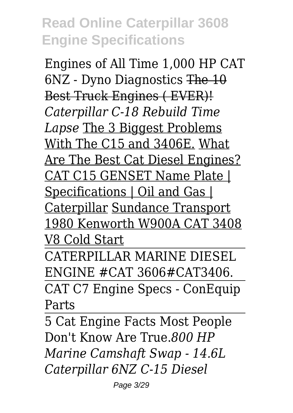Engines of All Time 1,000 HP CAT 6NZ - Dyno Diagnostics The 10 Best Truck Engines ( EVER)! *Caterpillar C-18 Rebuild Time Lapse* The 3 Biggest Problems With The C15 and 3406E. What Are The Best Cat Diesel Engines? CAT C15 GENSET Name Plate | Specifications | Oil and Gas | Caterpillar Sundance Transport 1980 Kenworth W900A CAT 3408 V8 Cold Start

CATERPILLAR MARINE DIESEL ENGINE #CAT 3606#CAT3406.

CAT C7 Engine Specs - ConEquip Parts

5 Cat Engine Facts Most People Don't Know Are True.*800 HP Marine Camshaft Swap - 14.6L Caterpillar 6NZ C-15 Diesel*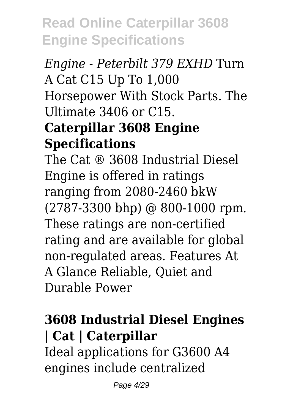## *Engine - Peterbilt 379 EXHD* Turn A Cat C15 Up To 1,000 Horsepower With Stock Parts. The Ultimate 3406 or C15. **Caterpillar 3608 Engine**

#### **Specifications**

The Cat ® 3608 Industrial Diesel Engine is offered in ratings ranging from 2080-2460 bkW (2787-3300 bhp) @ 800-1000 rpm. These ratings are non-certified rating and are available for global non-regulated areas. Features At A Glance Reliable, Quiet and Durable Power

#### **3608 Industrial Diesel Engines | Cat | Caterpillar**

Ideal applications for G3600 A4 engines include centralized

Page 4/29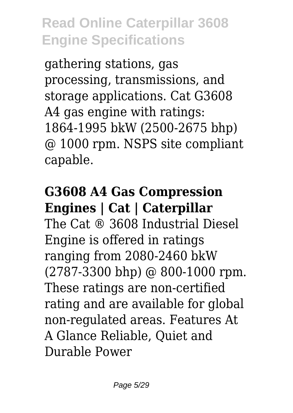gathering stations, gas processing, transmissions, and storage applications. Cat G3608 A4 gas engine with ratings: 1864-1995 bkW (2500-2675 bhp) @ 1000 rpm. NSPS site compliant capable.

# **G3608 A4 Gas Compression Engines | Cat | Caterpillar**

The Cat ® 3608 Industrial Diesel Engine is offered in ratings ranging from 2080-2460 bkW (2787-3300 bhp) @ 800-1000 rpm. These ratings are non-certified rating and are available for global non-regulated areas. Features At A Glance Reliable, Quiet and Durable Power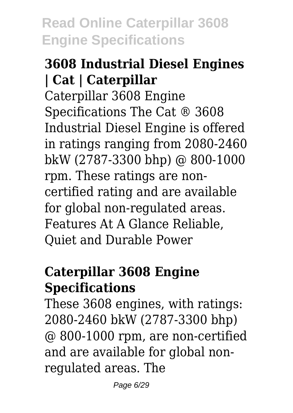#### **3608 Industrial Diesel Engines | Cat | Caterpillar**

Caterpillar 3608 Engine Specifications The Cat ® 3608 Industrial Diesel Engine is offered in ratings ranging from 2080-2460 bkW (2787-3300 bhp) @ 800-1000 rpm. These ratings are noncertified rating and are available for global non-regulated areas. Features At A Glance Reliable, Quiet and Durable Power

#### **Caterpillar 3608 Engine Specifications**

These 3608 engines, with ratings: 2080-2460 bkW (2787-3300 bhp) @ 800-1000 rpm, are non-certified and are available for global nonregulated areas. The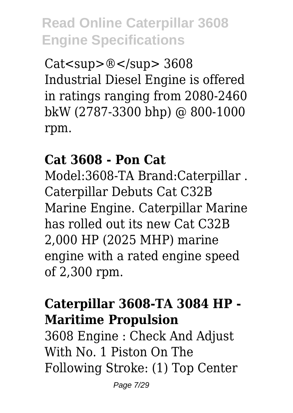Cat<sup>® </sup> 3608 Industrial Diesel Engine is offered in ratings ranging from 2080-2460 bkW (2787-3300 bhp) @ 800-1000 rpm.

#### **Cat 3608 - Pon Cat**

Model:3608-TA Brand:Caterpillar . Caterpillar Debuts Cat C32B Marine Engine. Caterpillar Marine has rolled out its new Cat C32B 2,000 HP (2025 MHP) marine engine with a rated engine speed of 2,300 rpm.

#### **Caterpillar 3608-TA 3084 HP - Maritime Propulsion**

3608 Engine : Check And Adjust With No. 1 Piston On The Following Stroke: (1) Top Center

Page 7/29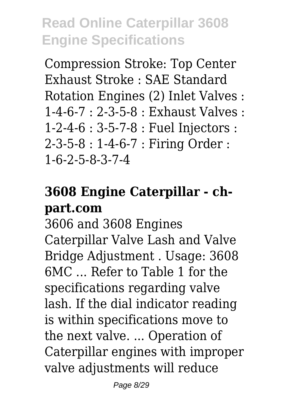Compression Stroke: Top Center Exhaust Stroke : SAE Standard Rotation Engines (2) Inlet Valves :  $1-4-6-7 \cdot 2-3-5-8 \cdot$  Exhaust Valves  $\cdot$ 1-2-4-6 : 3-5-7-8 : Fuel Injectors : 2-3-5-8 : 1-4-6-7 : Firing Order : 1-6-2-5-8-3-7-4

## **3608 Engine Caterpillar - chpart.com**

3606 and 3608 Engines Caterpillar Valve Lash and Valve Bridge Adjustment . Usage: 3608 6MC ... Refer to Table 1 for the specifications regarding valve lash. If the dial indicator reading is within specifications move to the next valve. ... Operation of Caterpillar engines with improper valve adjustments will reduce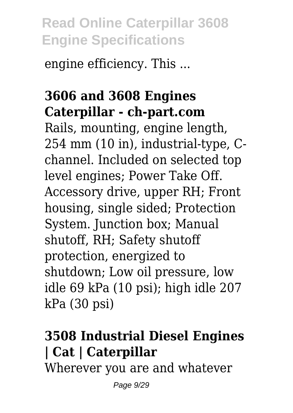engine efficiency. This ...

#### **3606 and 3608 Engines Caterpillar - ch-part.com**

Rails, mounting, engine length, 254 mm (10 in), industrial-type, Cchannel. Included on selected top level engines; Power Take Off. Accessory drive, upper RH; Front housing, single sided; Protection System. Junction box; Manual shutoff, RH; Safety shutoff protection, energized to shutdown; Low oil pressure, low idle 69 kPa (10 psi); high idle 207 kPa (30 psi)

# **3508 Industrial Diesel Engines | Cat | Caterpillar**

Wherever you are and whatever

Page 9/29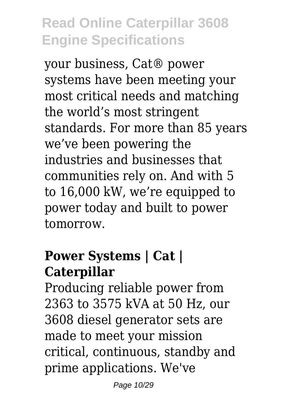your business, Cat® power systems have been meeting your most critical needs and matching the world's most stringent standards. For more than 85 years we've been powering the industries and businesses that communities rely on. And with 5 to 16,000 kW, we're equipped to power today and built to power tomorrow.

#### **Power Systems | Cat | Caterpillar**

Producing reliable power from 2363 to 3575 kVA at 50 Hz, our 3608 diesel generator sets are made to meet your mission critical, continuous, standby and prime applications. We've

Page 10/29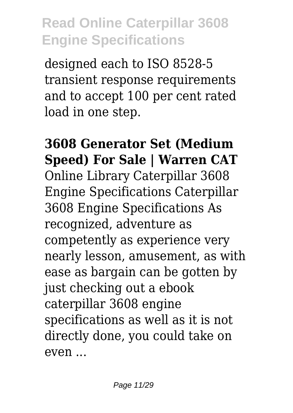designed each to ISO 8528-5 transient response requirements and to accept 100 per cent rated load in one step.

**3608 Generator Set (Medium Speed) For Sale | Warren CAT** Online Library Caterpillar 3608 Engine Specifications Caterpillar 3608 Engine Specifications As recognized, adventure as competently as experience very nearly lesson, amusement, as with ease as bargain can be gotten by just checking out a ebook caterpillar 3608 engine specifications as well as it is not directly done, you could take on even ...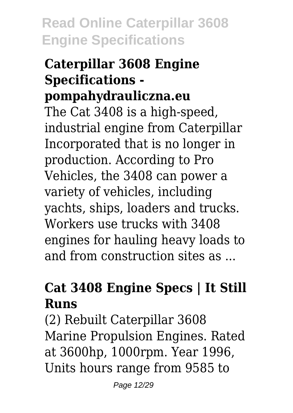#### **Caterpillar 3608 Engine Specifications pompahydrauliczna.eu**

The Cat 3408 is a high-speed, industrial engine from Caterpillar Incorporated that is no longer in production. According to Pro Vehicles, the 3408 can power a variety of vehicles, including yachts, ships, loaders and trucks. Workers use trucks with 3408 engines for hauling heavy loads to and from construction sites as ...

## **Cat 3408 Engine Specs | It Still Runs**

(2) Rebuilt Caterpillar 3608 Marine Propulsion Engines. Rated at 3600hp, 1000rpm. Year 1996, Units hours range from 9585 to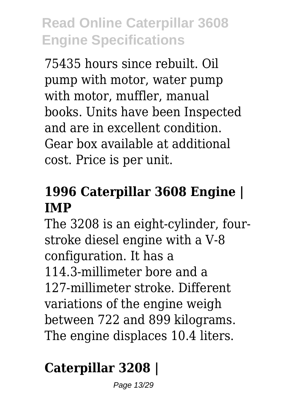75435 hours since rebuilt. Oil pump with motor, water pump with motor, muffler, manual books. Units have been Inspected and are in excellent condition. Gear box available at additional cost. Price is per unit.

#### **1996 Caterpillar 3608 Engine | IMP**

The 3208 is an eight-cylinder, fourstroke diesel engine with a V-8 configuration. It has a 114.3-millimeter bore and a 127-millimeter stroke. Different variations of the engine weigh between 722 and 899 kilograms. The engine displaces 10.4 liters.

# **Caterpillar 3208 |**

Page 13/29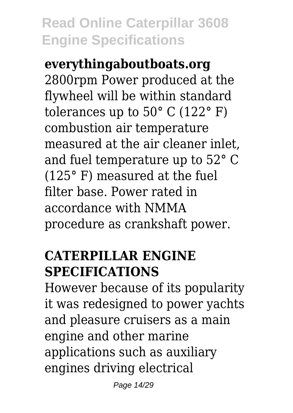**everythingaboutboats.org** 2800rpm Power produced at the flywheel will be within standard tolerances up to  $50^{\circ}$  C (122 $^{\circ}$  F) combustion air temperature measured at the air cleaner inlet, and fuel temperature up to 52° C (125° F) measured at the fuel filter base. Power rated in accordance with NMMA procedure as crankshaft power.

#### **CATERPILLAR ENGINE SPECIFICATIONS**

However because of its popularity it was redesigned to power yachts and pleasure cruisers as a main engine and other marine applications such as auxiliary engines driving electrical

Page 14/29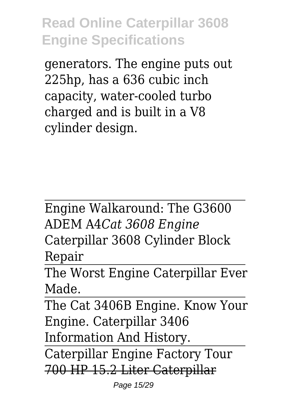generators. The engine puts out 225hp, has a 636 cubic inch capacity, water-cooled turbo charged and is built in a V8 cylinder design.

Engine Walkaround: The G3600 ADEM A4*Cat 3608 Engine* Caterpillar 3608 Cylinder Block Repair

The Worst Engine Caterpillar Ever Made.

The Cat 3406B Engine. Know Your Engine. Caterpillar 3406 Information And History.

Caterpillar Engine Factory Tour 700 HP 15.2 Liter Caterpillar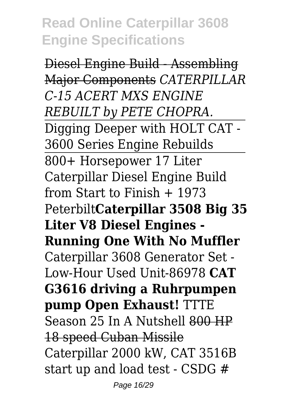Diesel Engine Build - Assembling Major Components *CATERPILLAR C-15 ACERT MXS ENGINE REBUILT by PETE CHOPRA.* Digging Deeper with HOLT CAT - 3600 Series Engine Rebuilds 800+ Horsepower 17 Liter Caterpillar Diesel Engine Build from Start to Finish + 1973 Peterbilt**Caterpillar 3508 Big 35 Liter V8 Diesel Engines - Running One With No Muffler** Caterpillar 3608 Generator Set - Low-Hour Used Unit-86978 **CAT G3616 driving a Ruhrpumpen pump Open Exhaust!** TTTE Season 25 In A Nutshell 800 HP 18 speed Cuban Missile Caterpillar 2000 kW, CAT 3516B start up and load test - CSDG #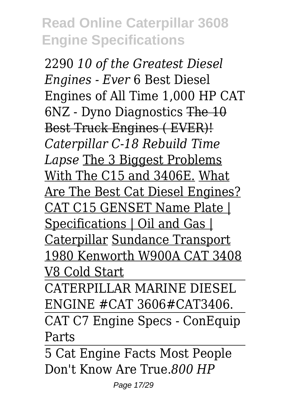2290 *10 of the Greatest Diesel Engines - Ever* 6 Best Diesel Engines of All Time 1,000 HP CAT 6NZ - Dyno Diagnostics The 10 Best Truck Engines ( EVER)! *Caterpillar C-18 Rebuild Time Lapse* The 3 Biggest Problems With The C15 and 3406E. What Are The Best Cat Diesel Engines? CAT C15 GENSET Name Plate | Specifications | Oil and Gas | Caterpillar Sundance Transport 1980 Kenworth W900A CAT 3408 V8 Cold Start

CATERPILLAR MARINE DIESEL ENGINE #CAT 3606#CAT3406. CAT C7 Engine Specs - ConEquip Parts

5 Cat Engine Facts Most People Don't Know Are True.*800 HP*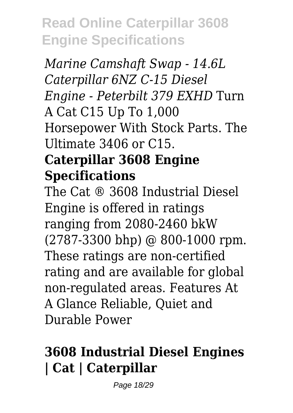*Marine Camshaft Swap - 14.6L Caterpillar 6NZ C-15 Diesel Engine - Peterbilt 379 EXHD* Turn A Cat C15 Up To 1,000 Horsepower With Stock Parts. The Ultimate 3406 or C15.

#### **Caterpillar 3608 Engine Specifications**

The Cat ® 3608 Industrial Diesel Engine is offered in ratings ranging from 2080-2460 bkW (2787-3300 bhp) @ 800-1000 rpm. These ratings are non-certified rating and are available for global non-regulated areas. Features At A Glance Reliable, Quiet and Durable Power

#### **3608 Industrial Diesel Engines | Cat | Caterpillar**

Page 18/29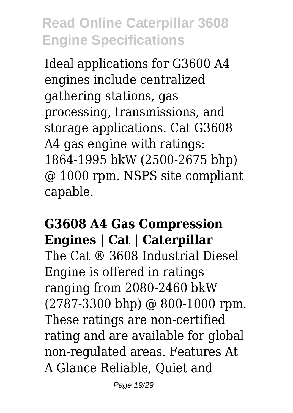Ideal applications for G3600 A4 engines include centralized gathering stations, gas processing, transmissions, and storage applications. Cat G3608 A4 gas engine with ratings: 1864-1995 bkW (2500-2675 bhp) @ 1000 rpm. NSPS site compliant capable.

#### **G3608 A4 Gas Compression Engines | Cat | Caterpillar**

The Cat ® 3608 Industrial Diesel Engine is offered in ratings ranging from 2080-2460 bkW (2787-3300 bhp) @ 800-1000 rpm. These ratings are non-certified rating and are available for global non-regulated areas. Features At A Glance Reliable, Quiet and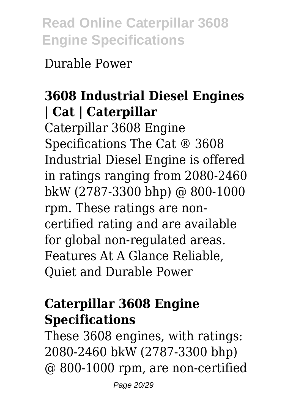Durable Power

## **3608 Industrial Diesel Engines | Cat | Caterpillar**

Caterpillar 3608 Engine Specifications The Cat ® 3608 Industrial Diesel Engine is offered in ratings ranging from 2080-2460 bkW (2787-3300 bhp) @ 800-1000 rpm. These ratings are noncertified rating and are available for global non-regulated areas. Features At A Glance Reliable, Quiet and Durable Power

#### **Caterpillar 3608 Engine Specifications**

These 3608 engines, with ratings: 2080-2460 bkW (2787-3300 bhp) @ 800-1000 rpm, are non-certified

Page 20/29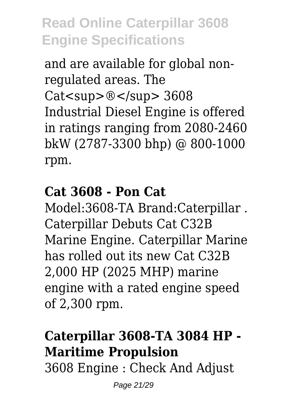and are available for global nonregulated areas. The Cat<sup>® </sup> 3608 Industrial Diesel Engine is offered in ratings ranging from 2080-2460 bkW (2787-3300 bhp) @ 800-1000 rpm.

#### **Cat 3608 - Pon Cat**

Model:3608-TA Brand:Caterpillar . Caterpillar Debuts Cat C32B Marine Engine. Caterpillar Marine has rolled out its new Cat C32B 2,000 HP (2025 MHP) marine engine with a rated engine speed of 2,300 rpm.

# **Caterpillar 3608-TA 3084 HP - Maritime Propulsion**

3608 Engine : Check And Adjust

Page 21/29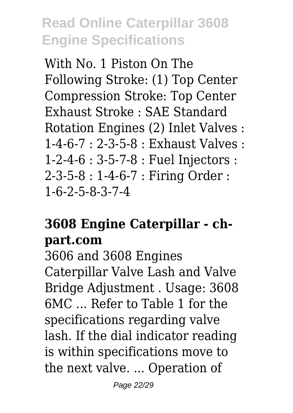With No. 1 Piston On The Following Stroke: (1) Top Center Compression Stroke: Top Center Exhaust Stroke : SAE Standard Rotation Engines (2) Inlet Valves : 1-4-6-7 : 2-3-5-8 : Exhaust Valves : 1-2-4-6 : 3-5-7-8 : Fuel Injectors : 2-3-5-8 : 1-4-6-7 : Firing Order : 1-6-2-5-8-3-7-4

#### **3608 Engine Caterpillar - chpart.com**

3606 and 3608 Engines Caterpillar Valve Lash and Valve Bridge Adjustment . Usage: 3608 6MC ... Refer to Table 1 for the specifications regarding valve lash. If the dial indicator reading is within specifications move to the next valve. ... Operation of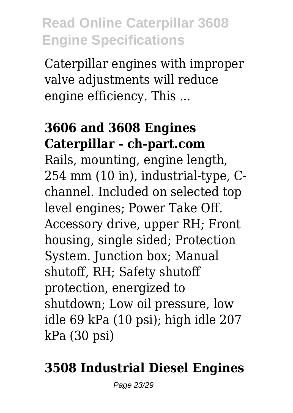Caterpillar engines with improper valve adjustments will reduce engine efficiency. This ...

#### **3606 and 3608 Engines Caterpillar - ch-part.com**

Rails, mounting, engine length, 254 mm (10 in), industrial-type, Cchannel. Included on selected top level engines; Power Take Off. Accessory drive, upper RH; Front housing, single sided; Protection System. Junction box; Manual shutoff, RH; Safety shutoff protection, energized to shutdown; Low oil pressure, low idle 69 kPa (10 psi); high idle 207 kPa (30 psi)

## **3508 Industrial Diesel Engines**

Page 23/29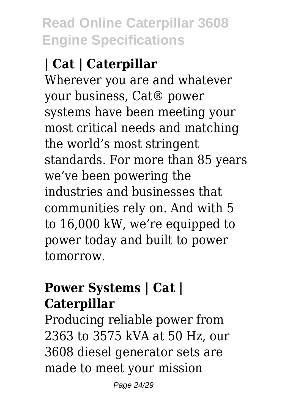# **| Cat | Caterpillar**

Wherever you are and whatever your business, Cat® power systems have been meeting your most critical needs and matching the world's most stringent standards. For more than 85 years we've been powering the industries and businesses that communities rely on. And with 5 to 16,000 kW, we're equipped to power today and built to power tomorrow.

#### **Power Systems | Cat | Caterpillar**

Producing reliable power from 2363 to 3575 kVA at 50 Hz, our 3608 diesel generator sets are made to meet your mission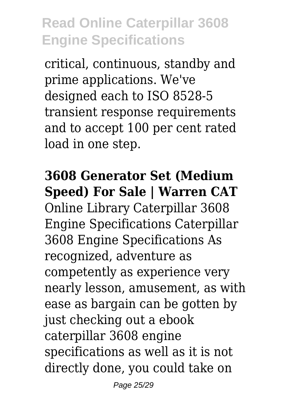critical, continuous, standby and prime applications. We've designed each to ISO 8528-5 transient response requirements and to accept 100 per cent rated load in one step.

#### **3608 Generator Set (Medium Speed) For Sale | Warren CAT**

Online Library Caterpillar 3608 Engine Specifications Caterpillar 3608 Engine Specifications As recognized, adventure as competently as experience very nearly lesson, amusement, as with ease as bargain can be gotten by just checking out a ebook caterpillar 3608 engine specifications as well as it is not directly done, you could take on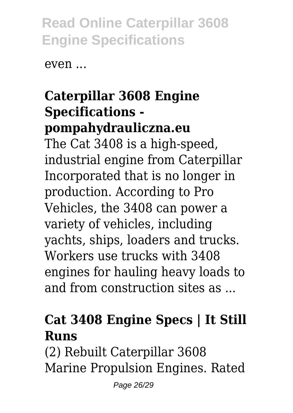even ...

#### **Caterpillar 3608 Engine Specifications pompahydrauliczna.eu**

The Cat 3408 is a high-speed, industrial engine from Caterpillar Incorporated that is no longer in production. According to Pro Vehicles, the 3408 can power a variety of vehicles, including yachts, ships, loaders and trucks. Workers use trucks with 3408 engines for hauling heavy loads to and from construction sites as ...

#### **Cat 3408 Engine Specs | It Still Runs**

(2) Rebuilt Caterpillar 3608 Marine Propulsion Engines. Rated

Page 26/29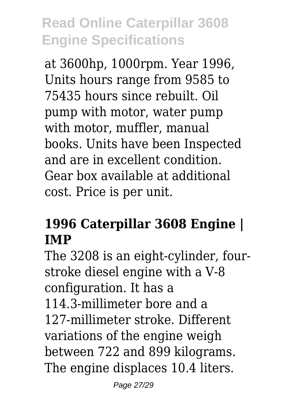at 3600hp, 1000rpm. Year 1996, Units hours range from 9585 to 75435 hours since rebuilt. Oil pump with motor, water pump with motor, muffler, manual books. Units have been Inspected and are in excellent condition. Gear box available at additional cost. Price is per unit.

#### **1996 Caterpillar 3608 Engine | IMP**

The 3208 is an eight-cylinder, fourstroke diesel engine with a V-8 configuration. It has a 114.3-millimeter bore and a 127-millimeter stroke. Different variations of the engine weigh between 722 and 899 kilograms. The engine displaces 10.4 liters.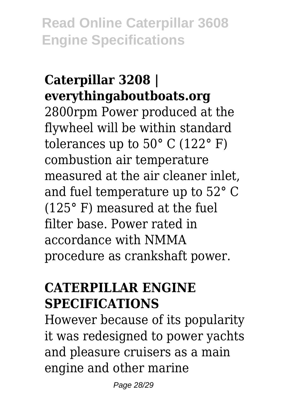#### **Caterpillar 3208 | everythingaboutboats.org**

2800rpm Power produced at the flywheel will be within standard tolerances up to  $50^{\circ}$  C (122 $^{\circ}$  F) combustion air temperature measured at the air cleaner inlet, and fuel temperature up to 52° C (125° F) measured at the fuel filter base. Power rated in accordance with NMMA procedure as crankshaft power.

#### **CATERPILLAR ENGINE SPECIFICATIONS**

However because of its popularity it was redesigned to power yachts and pleasure cruisers as a main engine and other marine

Page 28/29